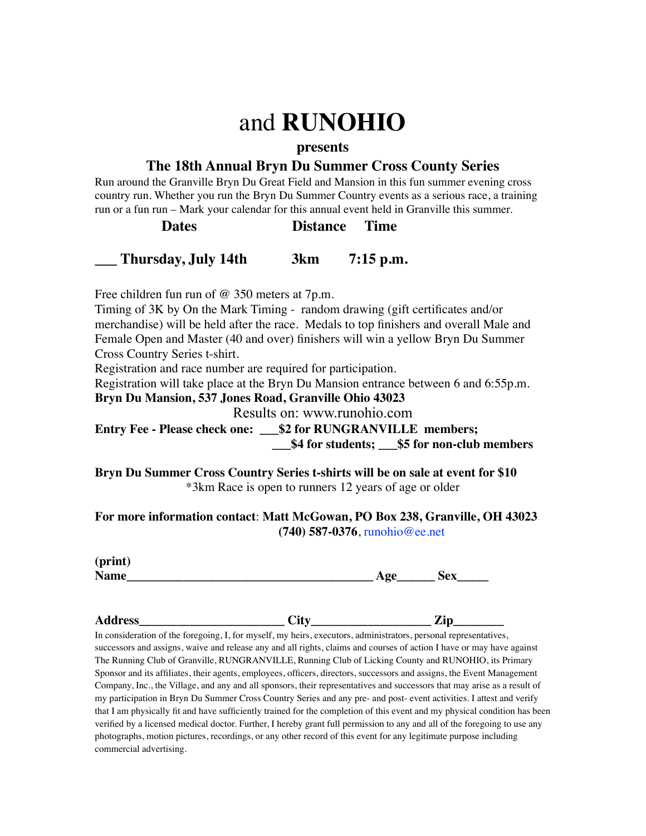# and **RUNOHIO**

#### **presents**

# **The 18th Annual Bryn Du Summer Cross County Series**

Run around the Granville Bryn Du Great Field and Mansion in this fun summer evening cross country run. Whether you run the Bryn Du Summer Country events as a serious race, a training run or a fun run – Mark your calendar for this annual event held in Granville this summer.

## **Dates Distance Time**

### **\_\_\_ Thursday, July 14th 3km 7:15 p.m.**

Free children fun run of @ 350 meters at 7p.m.

Timing of 3K by On the Mark Timing - random drawing (gift certificates and/or merchandise) will be held after the race. Medals to top finishers and overall Male and Female Open and Master (40 and over) finishers will win a yellow Bryn Du Summer Cross Country Series t-shirt.

Registration and race number are required for participation.

Registration will take place at the Bryn Du Mansion entrance between 6 and 6:55p.m.

**Bryn Du Mansion, 537 Jones Road, Granville Ohio 43023**

Results on: www.runohio.com

**Entry Fee - Please check one: \_\_\_\$2 for RUNGRANVILLE members; \_\_\_\$4 for students; \_\_\_\$5 for non-club members**

**Bryn Du Summer Cross Country Series t-shirts will be on sale at event for \$10** \*3km Race is open to runners 12 years of age or older

**For more information contact**: **Matt McGowan, PO Box 238, Granville, OH 43023 (740) 587-0376**, runohio@ee.net

| (print)    |            |   |
|------------|------------|---|
| Ng<br>таше | σн.<br>. . | ~ |

**Address\_\_\_\_\_\_\_\_\_\_\_\_\_\_\_\_\_\_\_\_\_\_\_ City\_\_\_\_\_\_\_\_\_\_\_\_\_\_\_\_\_\_\_ Zip\_\_\_\_\_\_\_\_** 

In consideration of the foregoing, I, for myself, my heirs, executors, administrators, personal representatives, successors and assigns, waive and release any and all rights, claims and courses of action I have or may have against The Running Club of Granville, RUNGRANVILLE, Running Club of Licking County and RUNOHIO, its Primary Sponsor and its affiliates, their agents, employees, officers, directors, successors and assigns, the Event Management Company, Inc., the Village, and any and all sponsors, their representatives and successors that may arise as a result of my participation in Bryn Du Summer Cross Country Series and any pre- and post- event activities. I attest and verify that I am physically fit and have sufficiently trained for the completion of this event and my physical condition has been verified by a licensed medical doctor. Further, I hereby grant full permission to any and all of the foregoing to use any photographs, motion pictures, recordings, or any other record of this event for any legitimate purpose including commercial advertising.